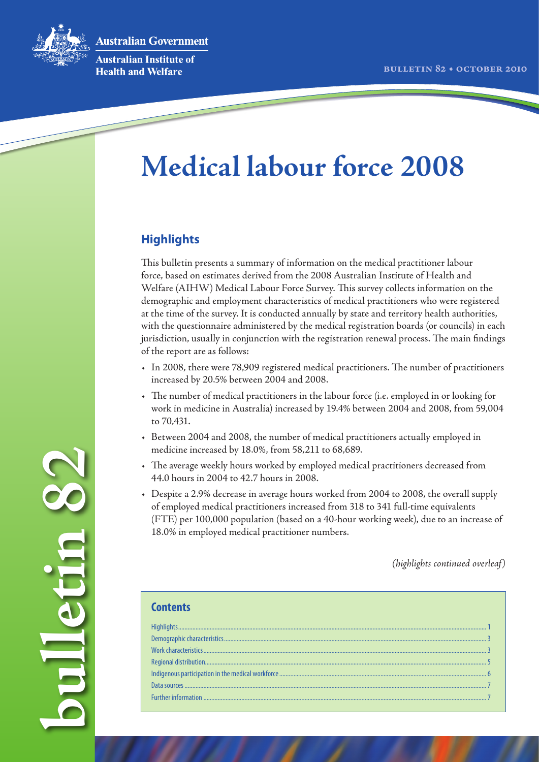**Australian Government** 



**bulletin 82**

So unbellud

**Australian Institute of Health and Welfare** 

# **Medical labour force 2008**

# **Highlights**

This bulletin presents a summary of information on the medical practitioner labour force, based on estimates derived from the 2008 Australian Institute of Health and Welfare (AIHW) Medical Labour Force Survey. This survey collects information on the demographic and employment characteristics of medical practitioners who were registered at the time of the survey. It is conducted annually by state and territory health authorities, with the questionnaire administered by the medical registration boards (or councils) in each jurisdiction, usually in conjunction with the registration renewal process. The main findings of the report are as follows:

- • In 2008, there were 78,909 registered medical practitioners. The number of practitioners increased by 20.5% between 2004 and 2008.
- • The number of medical practitioners in the labour force (i.e. employed in or looking for work in medicine in Australia) increased by 19.4% between 2004 and 2008, from 59,004 to 70,431.
- Between 2004 and 2008, the number of medical practitioners actually employed in medicine increased by 18.0%, from 58,211 to 68,689.
- • The average weekly hours worked by employed medical practitioners decreased from 44.0 hours in 2004 to 42.7 hours in 2008.
- • Despite a 2.9% decrease in average hours worked from 2004 to 2008, the overall supply of employed medical practitioners increased from 318 to 341 full-time equivalents (FTE) per 100,000 population (based on a 40-hour working week), due to an increase of 18.0% in employed medical practitioner numbers.

*(highlights continued overleaf)*

| <b>Contents</b> |
|-----------------|
|                 |
|                 |
|                 |
|                 |
|                 |
|                 |
|                 |
|                 |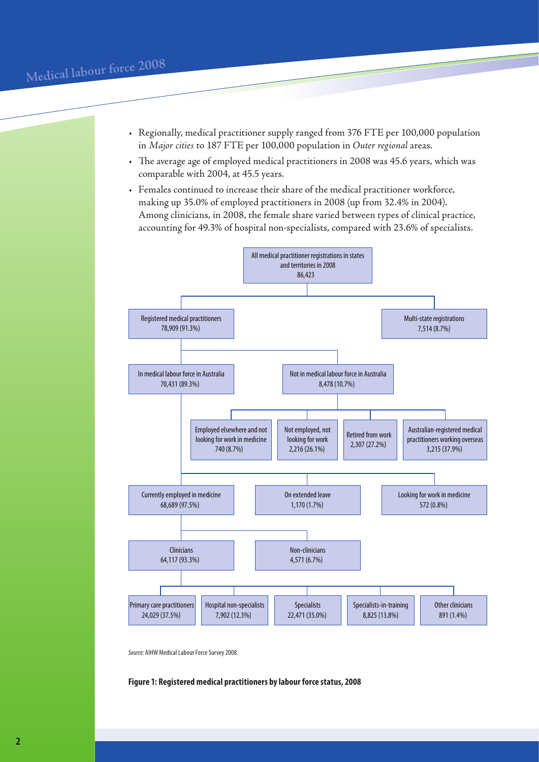- • Regionally, medical practitioner supply ranged from 376 FTE per 100,000 population in *Major cities* to 187 FTE per 100,000 population in *Outer regional* areas.
- • The average age of employed medical practitioners in 2008 was 45.6 years, which was comparable with 2004, at 45.5 years.
- • Females continued to increase their share of the medical practitioner workforce, making up 35.0% of employed practitioners in 2008 (up from 32.4% in 2004). Among clinicians, in 2008, the female share varied between types of clinical practice, accounting for 49.3% of hospital non-specialists, compared with 23.6% of specialists.



*Source:* AIHW Medical Labour Force Survey 2008.

**Figure 1: Registered medical practitioners by labour force status, 2008**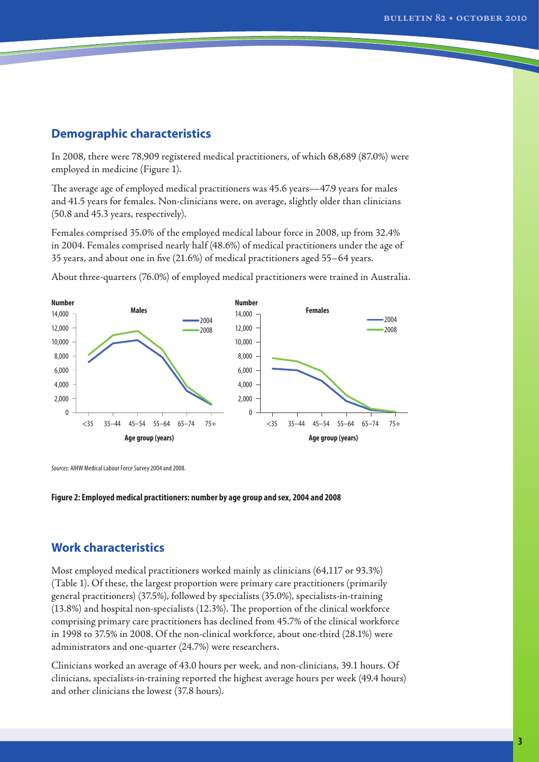## **Demographic characteristics**

In 2008, there were 78,909 registered medical practitioners, of which 68,689 (87.0%) were employed in medicine (Figure 1).

The average age of employed medical practitioners was 45.6 years—47.9 years for males and 41.5 years for females. Non-clinicians were, on average, slightly older than clinicians (50.8 and 45.3 years, respectively).

Females comprised 35.0% of the employed medical labour force in 2008, up from 32.4% in 2004. Females comprised nearly half (48.6%) of medical practitioners under the age of 35 years, and about one in five (21.6%) of medical practitioners aged 55–64 years.

About three-quarters (76.0%) of employed medical practitioners were trained in Australia.



*Sources:* AIHW Medical Labour Force Survey 2004 and 2008.

#### **Figure 2: Employed medical practitioners: number by age group and sex, 2004 and 2008**

## **Work characteristics**

Most employed medical practitioners worked mainly as clinicians (64,117 or 93.3%) (Table 1). Of these, the largest proportion were primary care practitioners (primarily general practitioners) (37.5%), followed by specialists (35.0%), specialists-in-training (13.8%) and hospital non-specialists (12.3%). The proportion of the clinical workforce comprising primary care practitioners has declined from 45.7% of the clinical workforce in 1998 to 37.5% in 2008. Of the non-clinical workforce, about one-third (28.1%) were administrators and one-quarter (24.7%) were researchers.

Clinicians worked an average of 43.0 hours per week, and non-clinicians, 39.1 hours. Of clinicians, specialists-in-training reported the highest average hours per week (49.4 hours) and other clinicians the lowest (37.8 hours).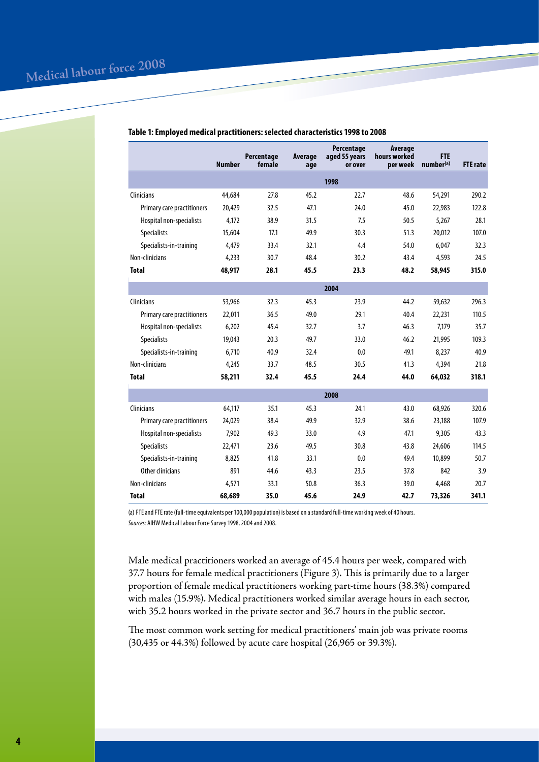|                            | <b>Number</b> | Percentage<br>female | Average<br>age | Percentage<br>aged 55 years<br>or over | Average<br>hours worked<br>per week | <b>FTE</b><br>number(a) | <b>FTE</b> rate |
|----------------------------|---------------|----------------------|----------------|----------------------------------------|-------------------------------------|-------------------------|-----------------|
|                            |               |                      |                | 1998                                   |                                     |                         |                 |
| Clinicians                 | 44,684        | 27.8                 | 45.2           | 22.7                                   | 48.6                                | 54,291                  | 290.2           |
| Primary care practitioners | 20,429        | 32.5                 | 47.1           | 24.0                                   | 45.0                                | 22,983                  | 122.8           |
| Hospital non-specialists   | 4.172         | 38.9                 | 31.5           | 7.5                                    | 50.5                                | 5,267                   | 28.1            |
| <b>Specialists</b>         | 15,604        | 17.1                 | 49.9           | 30.3                                   | 51.3                                | 20,012                  | 107.0           |
| Specialists-in-training    | 4.479         | 33.4                 | 32.1           | 4.4                                    | 54.0                                | 6.047                   | 32.3            |
| Non-clinicians             | 4.233         | 30.7                 | 48.4           | 30.2                                   | 43.4                                | 4,593                   | 24.5            |
| <b>Total</b>               | 48,917        | 28.1                 | 45.5           | 23.3                                   | 48.2                                | 58,945                  | 315.0           |
|                            |               |                      |                | 2004                                   |                                     |                         |                 |
| Clinicians                 | 53,966        | 32.3                 | 45.3           | 23.9                                   | 44.2                                | 59,632                  | 296.3           |
| Primary care practitioners | 22,011        | 36.5                 | 49.0           | 29.1                                   | 40.4                                | 22,231                  | 110.5           |
| Hospital non-specialists   | 6,202         | 45.4                 | 32.7           | 3.7                                    | 46.3                                | 7,179                   | 35.7            |
| <b>Specialists</b>         | 19,043        | 20.3                 | 49.7           | 33.0                                   | 46.2                                | 21,995                  | 109.3           |
| Specialists-in-training    | 6,710         | 40.9                 | 32.4           | 0.0                                    | 49.1                                | 8,237                   | 40.9            |
| Non-clinicians             | 4.245         | 33.7                 | 48.5           | 30.5                                   | 41.3                                | 4,394                   | 21.8            |
| <b>Total</b>               | 58,211        | 32.4                 | 45.5           | 24.4                                   | 44.0                                | 64,032                  | 318.1           |
|                            |               |                      |                | 2008                                   |                                     |                         |                 |
| <b>Clinicians</b>          | 64,117        | 35.1                 | 45.3           | 24.1                                   | 43.0                                | 68,926                  | 320.6           |
| Primary care practitioners | 24,029        | 38.4                 | 49.9           | 32.9                                   | 38.6                                | 23,188                  | 107.9           |
| Hospital non-specialists   | 7.902         | 49.3                 | 33.0           | 4.9                                    | 47.1                                | 9,305                   | 43.3            |
| <b>Specialists</b>         | 22,471        | 23.6                 | 49.5           | 30.8                                   | 43.8                                | 24,606                  | 114.5           |
| Specialists-in-training    | 8,825         | 41.8                 | 33.1           | 0.0                                    | 49.4                                | 10,899                  | 50.7            |
| Other clinicians           | 891           | 44.6                 | 43.3           | 23.5                                   | 37.8                                | 842                     | 3.9             |
| Non-clinicians             | 4,571         | 33.1                 | 50.8           | 36.3                                   | 39.0                                | 4,468                   | 20.7            |
| <b>Total</b>               | 68,689        | 35.0                 | 45.6           | 24.9                                   | 42.7                                | 73,326                  | 341.1           |

### **Table 1: Employed medical practitioners: selected characteristics 1998 to 2008**

(a) FTE and FTE rate (full-time equivalents per 100,000 population) is based on a standard full-time working week of 40 hours. *Sources:* AIHW Medical Labour Force Survey 1998, 2004 and 2008.

Male medical practitioners worked an average of 45.4 hours per week, compared with 37.7 hours for female medical practitioners (Figure 3). This is primarily due to a larger proportion of female medical practitioners working part-time hours (38.3%) compared with males (15.9%). Medical practitioners worked similar average hours in each sector, with 35.2 hours worked in the private sector and 36.7 hours in the public sector.

The most common work setting for medical practitioners' main job was private rooms (30,435 or 44.3%) followed by acute care hospital (26,965 or 39.3%).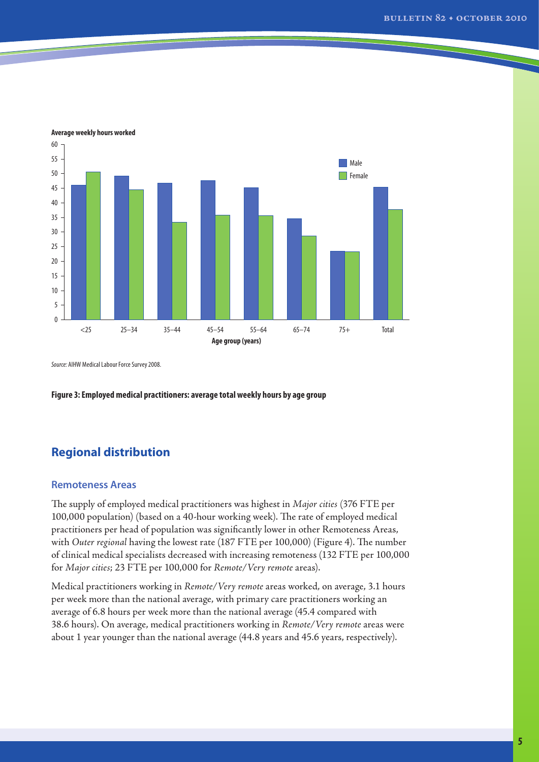

**Average weekly hours worked**

*Source:* AIHW Medical Labour Force Survey 2008.

**Figure 3: Employed medical practitioners: average total weekly hours by age group**

# **Regional distribution**

## **Remoteness Areas**

The supply of employed medical practitioners was highest in *Major cities* (376 FTE per 100,000 population) (based on a 40-hour working week). The rate of employed medical practitioners per head of population was significantly lower in other Remoteness Areas, with *Outer regional* having the lowest rate (187 FTE per 100,000) (Figure 4). The number of clinical medical specialists decreased with increasing remoteness (132 FTE per 100,000 for *Major cities*; 23 FTE per 100,000 for *Remote/Very remote* areas).

Medical practitioners working in *Remote/Very remote* areas worked, on average, 3.1 hours per week more than the national average, with primary care practitioners working an average of 6.8 hours per week more than the national average (45.4 compared with 38.6 hours). On average, medical practitioners working in *Remote/Very remote* areas were about 1 year younger than the national average (44.8 years and 45.6 years, respectively).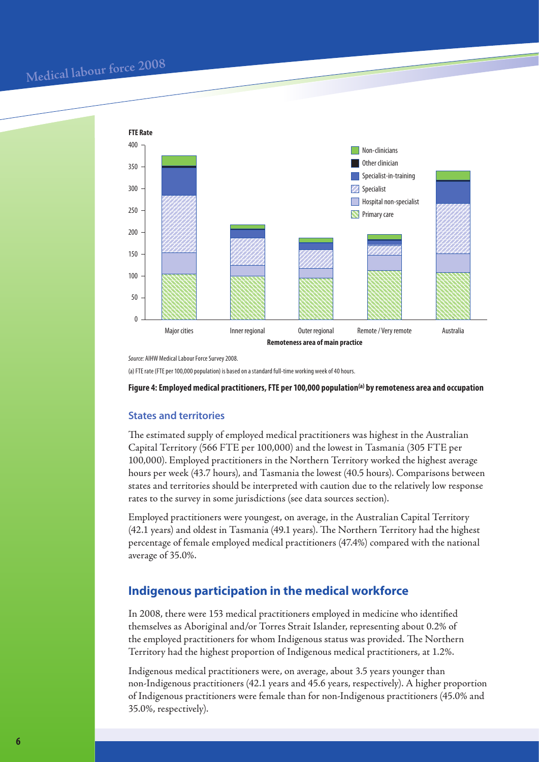

*Source:* AIHW Medical Labour Force Survey 2008.

(a) FTE rate (FTE per 100,000 population) is based on a standard full-time working week of 40 hours.

**Figure 4: Employed medical practitioners, FTE per 100,000 population(a) by remoteness area and occupation**

## **States and territories**

The estimated supply of employed medical practitioners was highest in the Australian Capital Territory (566 FTE per 100,000) and the lowest in Tasmania (305 FTE per 100,000). Employed practitioners in the Northern Territory worked the highest average hours per week (43.7 hours), and Tasmania the lowest (40.5 hours). Comparisons between states and territories should be interpreted with caution due to the relatively low response rates to the survey in some jurisdictions (see data sources section).

Employed practitioners were youngest, on average, in the Australian Capital Territory (42.1 years) and oldest in Tasmania (49.1 years). The Northern Territory had the highest percentage of female employed medical practitioners (47.4%) compared with the national average of 35.0%.

## **Indigenous participation in the medical workforce**

In 2008, there were 153 medical practitioners employed in medicine who identified themselves as Aboriginal and/or Torres Strait Islander, representing about 0.2% of the employed practitioners for whom Indigenous status was provided. The Northern Territory had the highest proportion of Indigenous medical practitioners, at 1.2%.

Indigenous medical practitioners were, on average, about 3.5 years younger than non-Indigenous practitioners (42.1 years and 45.6 years, respectively). A higher proportion of Indigenous practitioners were female than for non-Indigenous practitioners (45.0% and 35.0%, respectively).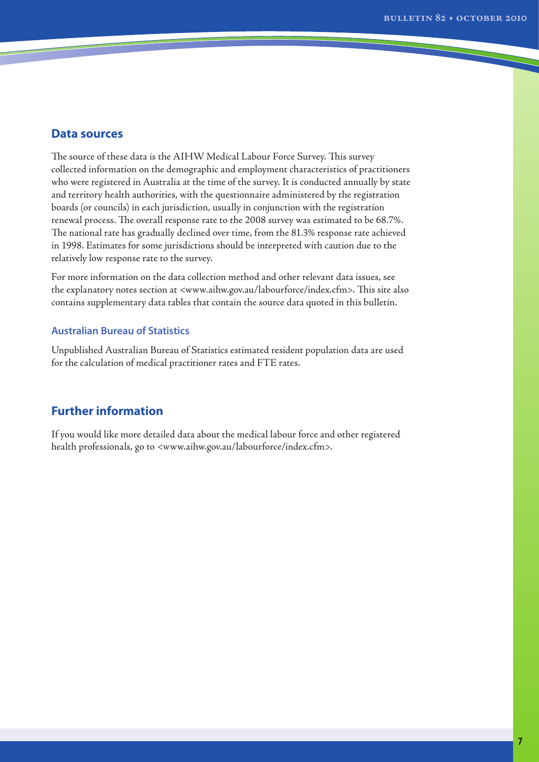## **Data sources**

The source of these data is the AIHW Medical Labour Force Survey. This survey collected information on the demographic and employment characteristics of practitioners who were registered in Australia at the time of the survey. It is conducted annually by state and territory health authorities, with the questionnaire administered by the registration boards (or councils) in each jurisdiction, usually in conjunction with the registration renewal process. The overall response rate to the 2008 survey was estimated to be 68.7%. The national rate has gradually declined over time, from the 81.3% response rate achieved in 1998. Estimates for some jurisdictions should be interpreted with caution due to the relatively low response rate to the survey.

For more information on the data collection method and other relevant data issues, see the explanatory notes section at <www.aihw.gov.au/labourforce/index.cfm>. This site also contains supplementary data tables that contain the source data quoted in this bulletin.

## **Australian Bureau of Statistics**

Unpublished Australian Bureau of Statistics estimated resident population data are used for the calculation of medical practitioner rates and FTE rates.

# **Further information**

If you would like more detailed data about the medical labour force and other registered health professionals, go to <www.aihw.gov.au/labourforce/index.cfm>.